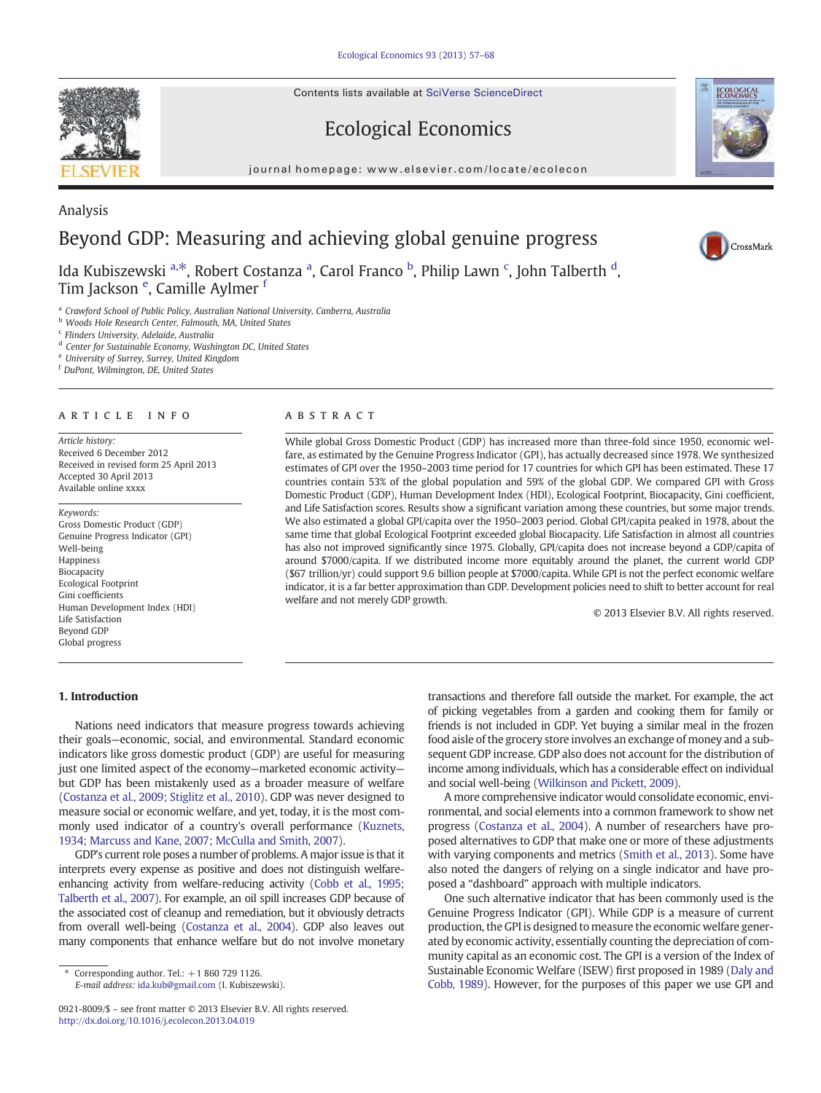Contents lists available at SciVerse ScienceDirect

## Ecological Economics

journal homepage: www.elsevier.com/locate/ecolecon

# Beyond GDP: Measuring and achieving global genuine progress

Ida Kubiszewski <sup>a,\*</sup>, Robert Costanza <sup>a</sup>, Carol Franco <sup>b</sup>, Philip Lawn <sup>c</sup>, John Talberth <sup>d</sup>, Tim Jackson <sup>e</sup>, Camille Aylmer <sup>f</sup>

<sup>a</sup> Crawford School of Public Policy, Australian National University, Canberra, Australia

**b** Woods Hole Research Center, Falmouth, MA, United States

<sup>c</sup> Flinders University, Adelaide, Australia

<sup>d</sup> Center for Sustainable Economy, Washington DC, United States

<sup>e</sup> University of Surrey, Surrey, United Kingdom

<sup>f</sup> DuPont, Wilmington, DE, United States

#### article info abstract

Article history: Received 6 December 2012 Received in revised form 25 April 2013 Accepted 30 April 2013 Available online xxxx

Keywords: Gross Domestic Product (GDP) Genuine Progress Indicator (GPI) Well-being Happiness Biocapacity Ecological Footprint Gini coefficients Human Development Index (HDI) Life Satisfaction Beyond GDP Global progress

While global Gross Domestic Product (GDP) has increased more than three-fold since 1950, economic welfare, as estimated by the Genuine Progress Indicator (GPI), has actually decreased since 1978. We synthesized estimates of GPI over the 1950–2003 time period for 17 countries for which GPI has been estimated. These 17 countries contain 53% of the global population and 59% of the global GDP. We compared GPI with Gross Domestic Product (GDP), Human Development Index (HDI), Ecological Footprint, Biocapacity, Gini coefficient, and Life Satisfaction scores. Results show a significant variation among these countries, but some major trends. We also estimated a global GPI/capita over the 1950–2003 period. Global GPI/capita peaked in 1978, about the same time that global Ecological Footprint exceeded global Biocapacity. Life Satisfaction in almost all countries has also not improved significantly since 1975. Globally, GPI/capita does not increase beyond a GDP/capita of around \$7000/capita. If we distributed income more equitably around the planet, the current world GDP (\$67 trillion/yr) could support 9.6 billion people at \$7000/capita. While GPI is not the perfect economic welfare indicator, it is a far better approximation than GDP. Development policies need to shift to better account for real welfare and not merely GDP growth.

© 2013 Elsevier B.V. All rights reserved.

#### 1. Introduction

Nations need indicators that measure progress towards achieving their goals—economic, social, and environmental. Standard economic indicators like gross domestic product (GDP) are useful for measuring just one limited aspect of the economy—marketed economic activity but GDP has been mistakenly used as a broader measure of welfare [\(Costanza et al., 2009; Stiglitz et al., 2010\)](#page-10-0). GDP was never designed to measure social or economic welfare, and yet, today, it is the most commonly used indicator of a country's overall performance [\(Kuznets,](#page-10-0) [1934; Marcuss and Kane, 2007; McCulla and Smith, 2007](#page-10-0)).

GDP's current role poses a number of problems. A major issue is that it interprets every expense as positive and does not distinguish welfareenhancing activity from welfare-reducing activity [\(Cobb et al., 1995;](#page-10-0) [Talberth et al., 2007](#page-10-0)). For example, an oil spill increases GDP because of the associated cost of cleanup and remediation, but it obviously detracts from overall well-being [\(Costanza et al., 2004](#page-10-0)). GDP also leaves out many components that enhance welfare but do not involve monetary

E-mail address: [ida.kub@gmail.com](mailto:ida.kub@gmail.com) (I. Kubiszewski).

transactions and therefore fall outside the market. For example, the act of picking vegetables from a garden and cooking them for family or friends is not included in GDP. Yet buying a similar meal in the frozen food aisle of the grocery store involves an exchange of money and a subsequent GDP increase. GDP also does not account for the distribution of income among individuals, which has a considerable effect on individual and social well-being [\(Wilkinson and Pickett, 2009\)](#page-11-0).

A more comprehensive indicator would consolidate economic, environmental, and social elements into a common framework to show net progress ([Costanza et al., 2004](#page-10-0)). A number of researchers have proposed alternatives to GDP that make one or more of these adjustments with varying components and metrics ([Smith et al., 2013\)](#page-11-0). Some have also noted the dangers of relying on a single indicator and have proposed a "dashboard" approach with multiple indicators.

One such alternative indicator that has been commonly used is the Genuine Progress Indicator (GPI). While GDP is a measure of current production, the GPI is designed to measure the economic welfare generated by economic activity, essentially counting the depreciation of community capital as an economic cost. The GPI is a version of the Index of Sustainable Economic Welfare (ISEW) first proposed in 1989 [\(Daly and](#page-10-0) [Cobb, 1989\)](#page-10-0). However, for the purposes of this paper we use GPI and



Analysis



CrossMark

Corresponding author. Tel.:  $+18607291126$ .

<sup>0921-8009/\$</sup> – see front matter © 2013 Elsevier B.V. All rights reserved. <http://dx.doi.org/10.1016/j.ecolecon.2013.04.019>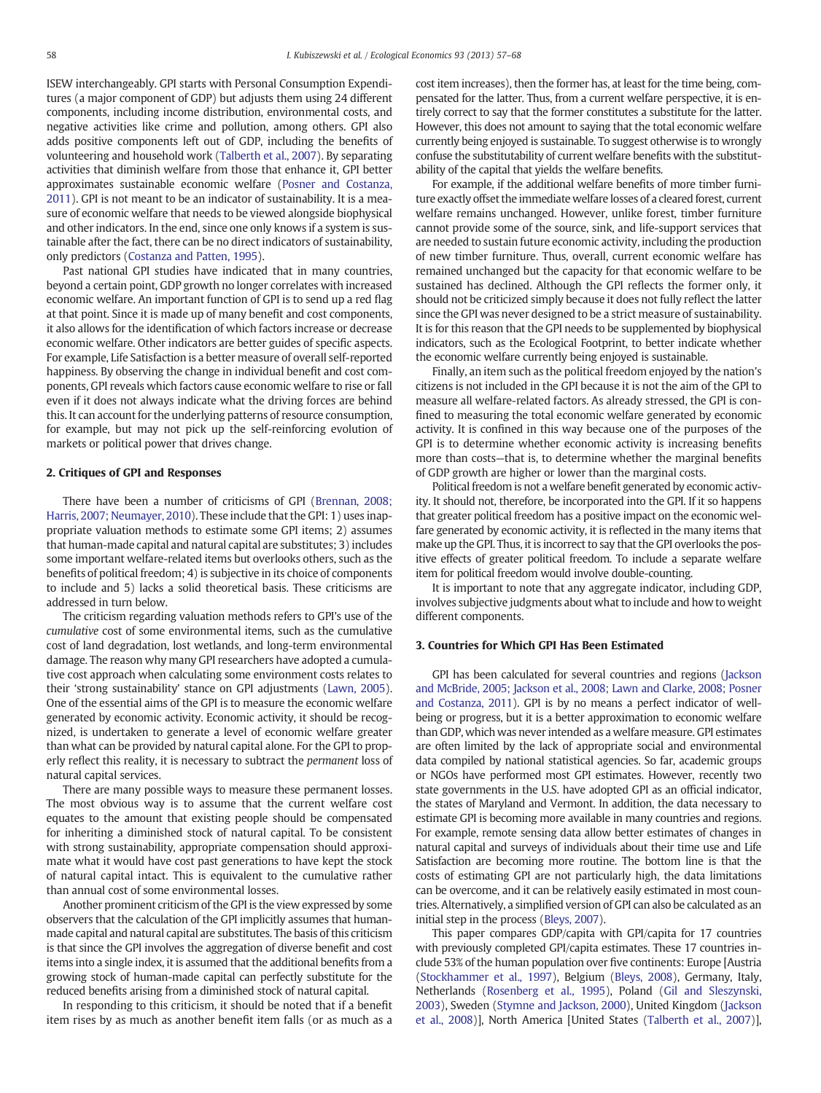ISEW interchangeably. GPI starts with Personal Consumption Expenditures (a major component of GDP) but adjusts them using 24 different components, including income distribution, environmental costs, and negative activities like crime and pollution, among others. GPI also adds positive components left out of GDP, including the benefits of volunteering and household work ([Talberth et al., 2007\)](#page-11-0). By separating activities that diminish welfare from those that enhance it, GPI better approximates sustainable economic welfare ([Posner and Costanza,](#page-11-0) [2011\)](#page-11-0). GPI is not meant to be an indicator of sustainability. It is a measure of economic welfare that needs to be viewed alongside biophysical and other indicators. In the end, since one only knows if a system is sustainable after the fact, there can be no direct indicators of sustainability, only predictors [\(Costanza and Patten, 1995\)](#page-10-0).

Past national GPI studies have indicated that in many countries, beyond a certain point, GDP growth no longer correlates with increased economic welfare. An important function of GPI is to send up a red flag at that point. Since it is made up of many benefit and cost components, it also allows for the identification of which factors increase or decrease economic welfare. Other indicators are better guides of specific aspects. For example, Life Satisfaction is a better measure of overall self-reported happiness. By observing the change in individual benefit and cost components, GPI reveals which factors cause economic welfare to rise or fall even if it does not always indicate what the driving forces are behind this. It can account for the underlying patterns of resource consumption, for example, but may not pick up the self-reinforcing evolution of markets or political power that drives change.

#### 2. Critiques of GPI and Responses

There have been a number of criticisms of GPI ([Brennan, 2008;](#page-10-0) [Harris, 2007; Neumayer, 2010](#page-10-0)). These include that the GPI: 1) uses inappropriate valuation methods to estimate some GPI items; 2) assumes that human-made capital and natural capital are substitutes; 3) includes some important welfare-related items but overlooks others, such as the benefits of political freedom; 4) is subjective in its choice of components to include and 5) lacks a solid theoretical basis. These criticisms are addressed in turn below.

The criticism regarding valuation methods refers to GPI's use of the cumulative cost of some environmental items, such as the cumulative cost of land degradation, lost wetlands, and long-term environmental damage. The reason why many GPI researchers have adopted a cumulative cost approach when calculating some environment costs relates to their 'strong sustainability' stance on GPI adjustments ([Lawn, 2005\)](#page-10-0). One of the essential aims of the GPI is to measure the economic welfare generated by economic activity. Economic activity, it should be recognized, is undertaken to generate a level of economic welfare greater than what can be provided by natural capital alone. For the GPI to properly reflect this reality, it is necessary to subtract the permanent loss of natural capital services.

There are many possible ways to measure these permanent losses. The most obvious way is to assume that the current welfare cost equates to the amount that existing people should be compensated for inheriting a diminished stock of natural capital. To be consistent with strong sustainability, appropriate compensation should approximate what it would have cost past generations to have kept the stock of natural capital intact. This is equivalent to the cumulative rather than annual cost of some environmental losses.

Another prominent criticism of the GPI is the view expressed by some observers that the calculation of the GPI implicitly assumes that humanmade capital and natural capital are substitutes. The basis of this criticism is that since the GPI involves the aggregation of diverse benefit and cost items into a single index, it is assumed that the additional benefits from a growing stock of human-made capital can perfectly substitute for the reduced benefits arising from a diminished stock of natural capital.

In responding to this criticism, it should be noted that if a benefit item rises by as much as another benefit item falls (or as much as a cost item increases), then the former has, at least for the time being, compensated for the latter. Thus, from a current welfare perspective, it is entirely correct to say that the former constitutes a substitute for the latter. However, this does not amount to saying that the total economic welfare currently being enjoyed is sustainable. To suggest otherwise is to wrongly confuse the substitutability of current welfare benefits with the substitutability of the capital that yields the welfare benefits.

For example, if the additional welfare benefits of more timber furniture exactly offset the immediate welfare losses of a cleared forest, current welfare remains unchanged. However, unlike forest, timber furniture cannot provide some of the source, sink, and life-support services that are needed to sustain future economic activity, including the production of new timber furniture. Thus, overall, current economic welfare has remained unchanged but the capacity for that economic welfare to be sustained has declined. Although the GPI reflects the former only, it should not be criticized simply because it does not fully reflect the latter since the GPI was never designed to be a strict measure of sustainability. It is for this reason that the GPI needs to be supplemented by biophysical indicators, such as the Ecological Footprint, to better indicate whether the economic welfare currently being enjoyed is sustainable.

Finally, an item such as the political freedom enjoyed by the nation's citizens is not included in the GPI because it is not the aim of the GPI to measure all welfare-related factors. As already stressed, the GPI is confined to measuring the total economic welfare generated by economic activity. It is confined in this way because one of the purposes of the GPI is to determine whether economic activity is increasing benefits more than costs—that is, to determine whether the marginal benefits of GDP growth are higher or lower than the marginal costs.

Political freedom is not a welfare benefit generated by economic activity. It should not, therefore, be incorporated into the GPI. If it so happens that greater political freedom has a positive impact on the economic welfare generated by economic activity, it is reflected in the many items that make up the GPI. Thus, it is incorrect to say that the GPI overlooks the positive effects of greater political freedom. To include a separate welfare item for political freedom would involve double-counting.

It is important to note that any aggregate indicator, including GDP, involves subjective judgments about what to include and how to weight different components.

#### 3. Countries for Which GPI Has Been Estimated

GPI has been calculated for several countries and regions [\(Jackson](#page-10-0) [and McBride, 2005; Jackson et al., 2008; Lawn and Clarke, 2008; Posner](#page-10-0) [and Costanza, 2011\)](#page-10-0). GPI is by no means a perfect indicator of wellbeing or progress, but it is a better approximation to economic welfare than GDP, which was never intended as a welfare measure. GPI estimates are often limited by the lack of appropriate social and environmental data compiled by national statistical agencies. So far, academic groups or NGOs have performed most GPI estimates. However, recently two state governments in the U.S. have adopted GPI as an official indicator, the states of Maryland and Vermont. In addition, the data necessary to estimate GPI is becoming more available in many countries and regions. For example, remote sensing data allow better estimates of changes in natural capital and surveys of individuals about their time use and Life Satisfaction are becoming more routine. The bottom line is that the costs of estimating GPI are not particularly high, the data limitations can be overcome, and it can be relatively easily estimated in most countries. Alternatively, a simplified version of GPI can also be calculated as an initial step in the process ([Bleys, 2007\)](#page-10-0).

This paper compares GDP/capita with GPI/capita for 17 countries with previously completed GPI/capita estimates. These 17 countries include 53% of the human population over five continents: Europe [Austria [\(Stockhammer et al., 1997\)](#page-11-0), Belgium [\(Bleys, 2008](#page-10-0)), Germany, Italy, Netherlands [\(Rosenberg et al., 1995](#page-11-0)), Poland ([Gil and Sleszynski,](#page-10-0) [2003\)](#page-10-0), Sweden ([Stymne and Jackson, 2000](#page-11-0)), United Kingdom [\(Jackson](#page-10-0) [et al., 2008](#page-10-0))], North America [United States [\(Talberth et al., 2007\)](#page-11-0)],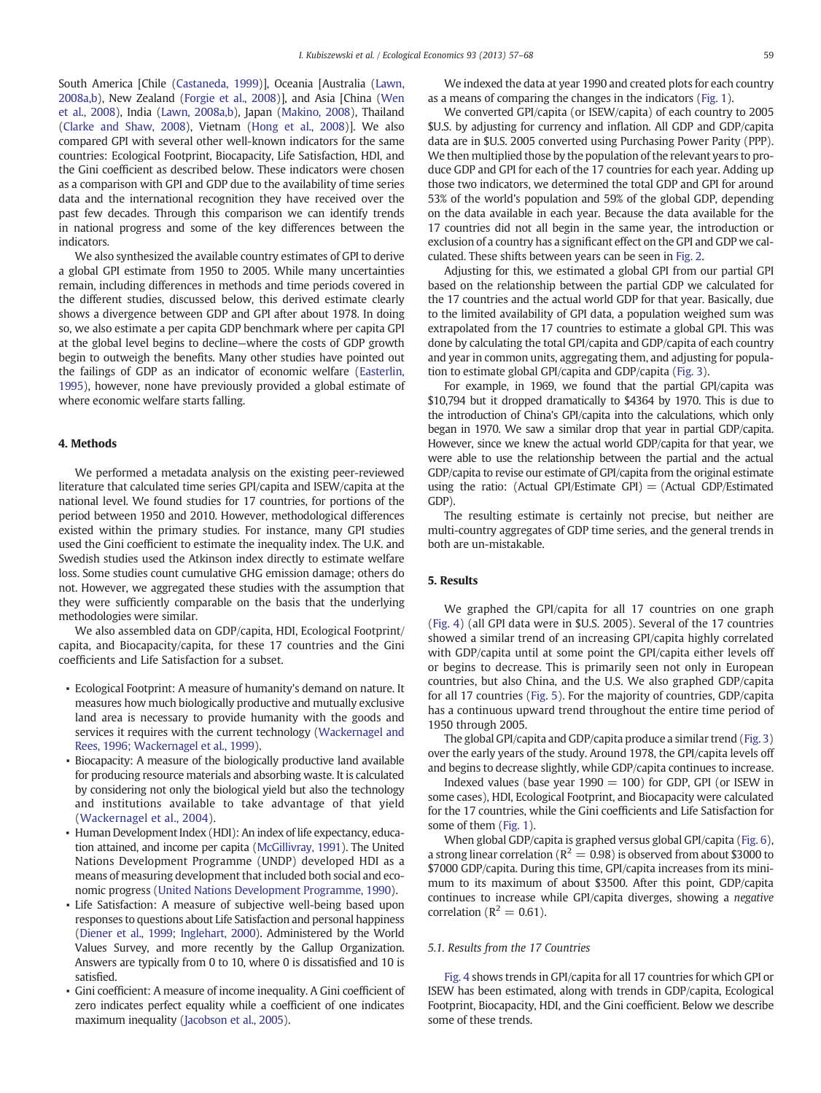South America [Chile [\(Castaneda, 1999](#page-10-0))], Oceania [Australia ([Lawn,](#page-11-0) [2008a,b\)](#page-11-0), New Zealand ([Forgie et al., 2008](#page-10-0))], and Asia [China [\(Wen](#page-11-0) [et al., 2008\)](#page-11-0), India [\(Lawn, 2008a,b](#page-11-0)), Japan [\(Makino, 2008](#page-11-0)), Thailand [\(Clarke and Shaw, 2008\)](#page-10-0), Vietnam ([Hong et al., 2008](#page-10-0))]. We also compared GPI with several other well-known indicators for the same countries: Ecological Footprint, Biocapacity, Life Satisfaction, HDI, and the Gini coefficient as described below. These indicators were chosen as a comparison with GPI and GDP due to the availability of time series data and the international recognition they have received over the past few decades. Through this comparison we can identify trends in national progress and some of the key differences between the indicators.

We also synthesized the available country estimates of GPI to derive a global GPI estimate from 1950 to 2005. While many uncertainties remain, including differences in methods and time periods covered in the different studies, discussed below, this derived estimate clearly shows a divergence between GDP and GPI after about 1978. In doing so, we also estimate a per capita GDP benchmark where per capita GPI at the global level begins to decline—where the costs of GDP growth begin to outweigh the benefits. Many other studies have pointed out the failings of GDP as an indicator of economic welfare ([Easterlin,](#page-10-0) [1995](#page-10-0)), however, none have previously provided a global estimate of where economic welfare starts falling.

#### 4. Methods

We performed a metadata analysis on the existing peer-reviewed literature that calculated time series GPI/capita and ISEW/capita at the national level. We found studies for 17 countries, for portions of the period between 1950 and 2010. However, methodological differences existed within the primary studies. For instance, many GPI studies used the Gini coefficient to estimate the inequality index. The U.K. and Swedish studies used the Atkinson index directly to estimate welfare loss. Some studies count cumulative GHG emission damage; others do not. However, we aggregated these studies with the assumption that they were sufficiently comparable on the basis that the underlying methodologies were similar.

We also assembled data on GDP/capita, HDI, Ecological Footprint/ capita, and Biocapacity/capita, for these 17 countries and the Gini coefficients and Life Satisfaction for a subset.

- Ecological Footprint: A measure of humanity's demand on nature. It measures how much biologically productive and mutually exclusive land area is necessary to provide humanity with the goods and services it requires with the current technology [\(Wackernagel and](#page-11-0) [Rees, 1996; Wackernagel et al., 1999\)](#page-11-0).
- Biocapacity: A measure of the biologically productive land available for producing resource materials and absorbing waste. It is calculated by considering not only the biological yield but also the technology and institutions available to take advantage of that yield [\(Wackernagel et al., 2004](#page-11-0)).
- Human Development Index (HDI): An index of life expectancy, education attained, and income per capita ([McGillivray, 1991\)](#page-11-0). The United Nations Development Programme (UNDP) developed HDI as a means of measuring development that included both social and economic progress ([United Nations Development Programme, 1990\)](#page-11-0).
- Life Satisfaction: A measure of subjective well-being based upon responses to questions about Life Satisfaction and personal happiness [\(Diener et al., 1999; Inglehart, 2000](#page-10-0)). Administered by the World Values Survey, and more recently by the Gallup Organization. Answers are typically from 0 to 10, where 0 is dissatisfied and 10 is satisfied.
- Gini coefficient: A measure of income inequality. A Gini coefficient of zero indicates perfect equality while a coefficient of one indicates maximum inequality [\(Jacobson et al., 2005\)](#page-10-0).

We indexed the data at year 1990 and created plots for each country as a means of comparing the changes in the indicators ([Fig. 1\)](#page-3-0).

We converted GPI/capita (or ISEW/capita) of each country to 2005 \$U.S. by adjusting for currency and inflation. All GDP and GDP/capita data are in \$U.S. 2005 converted using Purchasing Power Parity (PPP). We then multiplied those by the population of the relevant years to produce GDP and GPI for each of the 17 countries for each year. Adding up those two indicators, we determined the total GDP and GPI for around 53% of the world's population and 59% of the global GDP, depending on the data available in each year. Because the data available for the 17 countries did not all begin in the same year, the introduction or exclusion of a country has a significant effect on the GPI and GDP we calculated. These shifts between years can be seen in [Fig. 2](#page-6-0).

Adjusting for this, we estimated a global GPI from our partial GPI based on the relationship between the partial GDP we calculated for the 17 countries and the actual world GDP for that year. Basically, due to the limited availability of GPI data, a population weighed sum was extrapolated from the 17 countries to estimate a global GPI. This was done by calculating the total GPI/capita and GDP/capita of each country and year in common units, aggregating them, and adjusting for population to estimate global GPI/capita and GDP/capita [\(Fig. 3\)](#page-6-0).

For example, in 1969, we found that the partial GPI/capita was \$10,794 but it dropped dramatically to \$4364 by 1970. This is due to the introduction of China's GPI/capita into the calculations, which only began in 1970. We saw a similar drop that year in partial GDP/capita. However, since we knew the actual world GDP/capita for that year, we were able to use the relationship between the partial and the actual GDP/capita to revise our estimate of GPI/capita from the original estimate using the ratio: (Actual GPI/Estimate GPI) = (Actual GDP/Estimated GDP).

The resulting estimate is certainly not precise, but neither are multi-country aggregates of GDP time series, and the general trends in both are un-mistakable.

### 5. Results

We graphed the GPI/capita for all 17 countries on one graph [\(Fig. 4\)](#page-7-0) (all GPI data were in \$U.S. 2005). Several of the 17 countries showed a similar trend of an increasing GPI/capita highly correlated with GDP/capita until at some point the GPI/capita either levels off or begins to decrease. This is primarily seen not only in European countries, but also China, and the U.S. We also graphed GDP/capita for all 17 countries [\(Fig. 5\)](#page-7-0). For the majority of countries, GDP/capita has a continuous upward trend throughout the entire time period of 1950 through 2005.

The global GPI/capita and GDP/capita produce a similar trend [\(Fig. 3](#page-6-0)) over the early years of the study. Around 1978, the GPI/capita levels off and begins to decrease slightly, while GDP/capita continues to increase.

Indexed values (base year  $1990 = 100$ ) for GDP, GPI (or ISEW in some cases), HDI, Ecological Footprint, and Biocapacity were calculated for the 17 countries, while the Gini coefficients and Life Satisfaction for some of them [\(Fig. 1\)](#page-3-0).

When global GDP/capita is graphed versus global GPI/capita [\(Fig. 6](#page-8-0)), a strong linear correlation ( $R^2 = 0.98$ ) is observed from about \$3000 to \$7000 GDP/capita. During this time, GPI/capita increases from its minimum to its maximum of about \$3500. After this point, GDP/capita continues to increase while GPI/capita diverges, showing a negative correlation ( $R^2 = 0.61$ ).

#### 5.1. Results from the 17 Countries

[Fig. 4](#page-7-0) shows trends in GPI/capita for all 17 countries for which GPI or ISEW has been estimated, along with trends in GDP/capita, Ecological Footprint, Biocapacity, HDI, and the Gini coefficient. Below we describe some of these trends.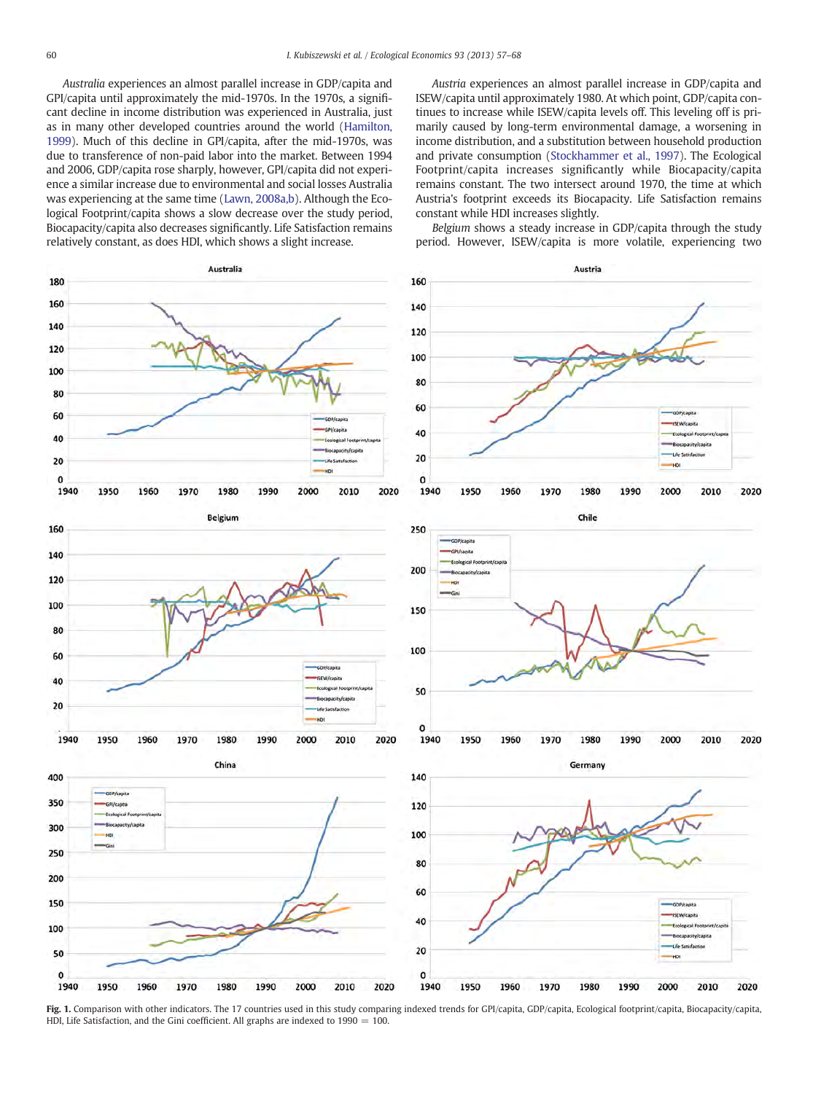<span id="page-3-0"></span>Australia experiences an almost parallel increase in GDP/capita and GPI/capita until approximately the mid-1970s. In the 1970s, a significant decline in income distribution was experienced in Australia, just as in many other developed countries around the world ([Hamilton,](#page-10-0) [1999\)](#page-10-0). Much of this decline in GPI/capita, after the mid-1970s, was due to transference of non-paid labor into the market. Between 1994 and 2006, GDP/capita rose sharply, however, GPI/capita did not experience a similar increase due to environmental and social losses Australia was experiencing at the same time ([Lawn, 2008a,b\)](#page-11-0). Although the Ecological Footprint/capita shows a slow decrease over the study period, Biocapacity/capita also decreases significantly. Life Satisfaction remains relatively constant, as does HDI, which shows a slight increase.

Austria experiences an almost parallel increase in GDP/capita and ISEW/capita until approximately 1980. At which point, GDP/capita continues to increase while ISEW/capita levels off. This leveling off is primarily caused by long-term environmental damage, a worsening in income distribution, and a substitution between household production and private consumption ([Stockhammer et al., 1997\)](#page-11-0). The Ecological Footprint/capita increases significantly while Biocapacity/capita remains constant. The two intersect around 1970, the time at which Austria's footprint exceeds its Biocapacity. Life Satisfaction remains constant while HDI increases slightly.

Belgium shows a steady increase in GDP/capita through the study period. However, ISEW/capita is more volatile, experiencing two



Fig. 1. Comparison with other indicators. The 17 countries used in this study comparing indexed trends for GPI/capita, GDP/capita, Ecological footprint/capita, Biocapacity/capita, HDI, Life Satisfaction, and the Gini coefficient. All graphs are indexed to  $1990 = 100$ .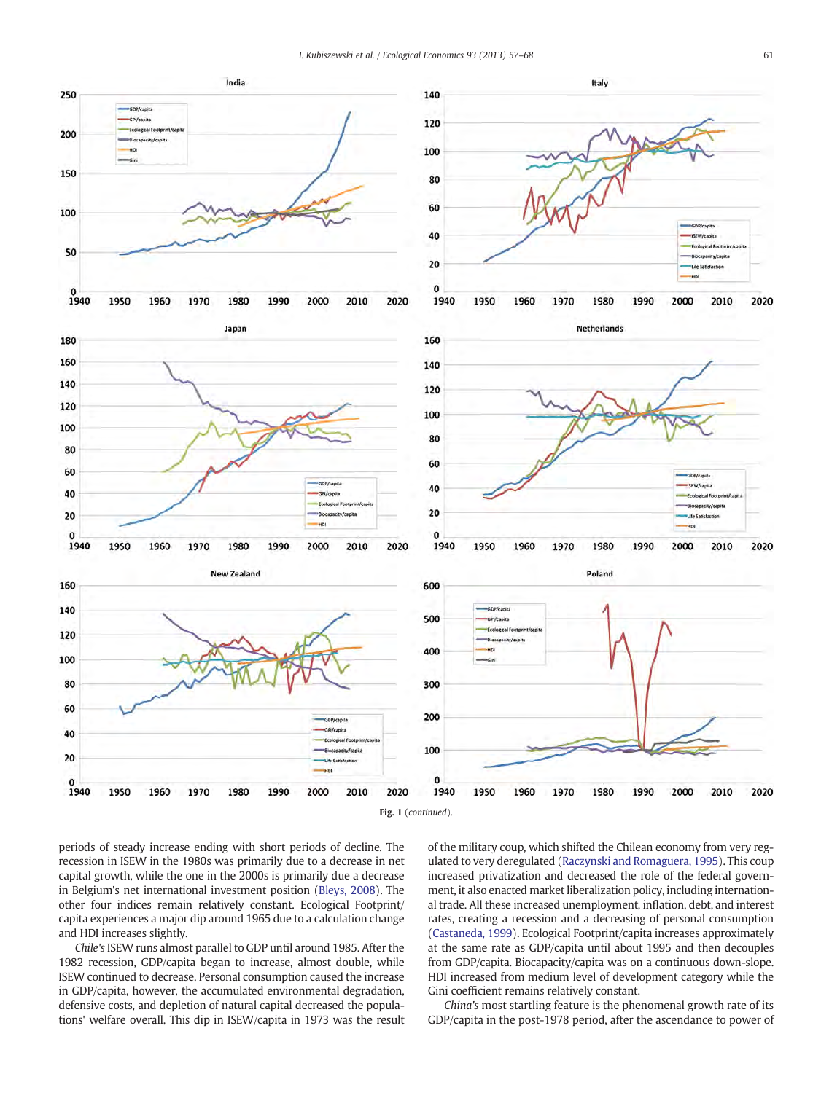

periods of steady increase ending with short periods of decline. The recession in ISEW in the 1980s was primarily due to a decrease in net capital growth, while the one in the 2000s is primarily due a decrease in Belgium's net international investment position [\(Bleys, 2008](#page-10-0)). The other four indices remain relatively constant. Ecological Footprint/ capita experiences a major dip around 1965 due to a calculation change and HDI increases slightly.

Chile's ISEW runs almost parallel to GDP until around 1985. After the 1982 recession, GDP/capita began to increase, almost double, while ISEW continued to decrease. Personal consumption caused the increase in GDP/capita, however, the accumulated environmental degradation, defensive costs, and depletion of natural capital decreased the populations' welfare overall. This dip in ISEW/capita in 1973 was the result of the military coup, which shifted the Chilean economy from very regulated to very deregulated [\(Raczynski and Romaguera, 1995](#page-11-0)). This coup increased privatization and decreased the role of the federal government, it also enacted market liberalization policy, including international trade. All these increased unemployment, inflation, debt, and interest rates, creating a recession and a decreasing of personal consumption [\(Castaneda, 1999\)](#page-10-0). Ecological Footprint/capita increases approximately at the same rate as GDP/capita until about 1995 and then decouples from GDP/capita. Biocapacity/capita was on a continuous down-slope. HDI increased from medium level of development category while the Gini coefficient remains relatively constant.

China's most startling feature is the phenomenal growth rate of its GDP/capita in the post-1978 period, after the ascendance to power of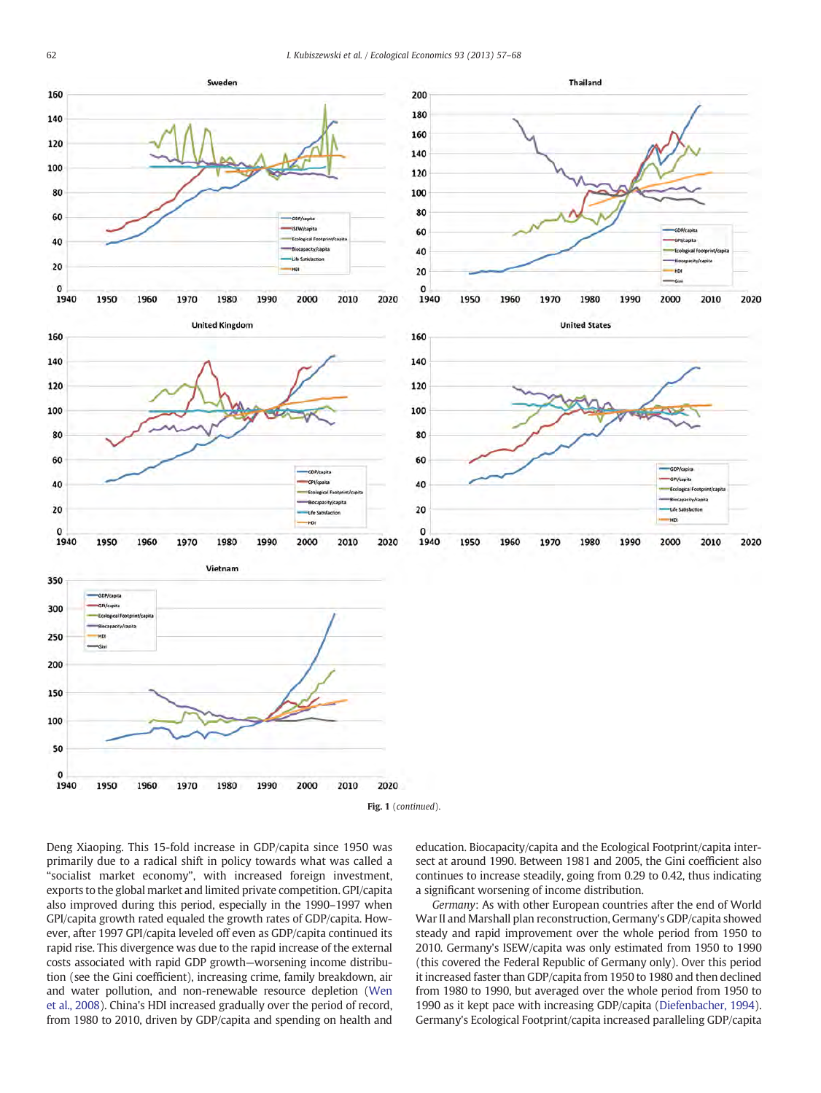

Fig. 1 (continued).

Deng Xiaoping. This 15-fold increase in GDP/capita since 1950 was primarily due to a radical shift in policy towards what was called a "socialist market economy", with increased foreign investment, exports to the global market and limited private competition. GPI/capita also improved during this period, especially in the 1990–1997 when GPI/capita growth rated equaled the growth rates of GDP/capita. However, after 1997 GPI/capita leveled off even as GDP/capita continued its rapid rise. This divergence was due to the rapid increase of the external costs associated with rapid GDP growth—worsening income distribution (see the Gini coefficient), increasing crime, family breakdown, air and water pollution, and non-renewable resource depletion ([Wen](#page-11-0) [et al., 2008](#page-11-0)). China's HDI increased gradually over the period of record, from 1980 to 2010, driven by GDP/capita and spending on health and education. Biocapacity/capita and the Ecological Footprint/capita intersect at around 1990. Between 1981 and 2005, the Gini coefficient also continues to increase steadily, going from 0.29 to 0.42, thus indicating a significant worsening of income distribution.

Germany: As with other European countries after the end of World War II and Marshall plan reconstruction, Germany's GDP/capita showed steady and rapid improvement over the whole period from 1950 to 2010. Germany's ISEW/capita was only estimated from 1950 to 1990 (this covered the Federal Republic of Germany only). Over this period it increased faster than GDP/capita from 1950 to 1980 and then declined from 1980 to 1990, but averaged over the whole period from 1950 to 1990 as it kept pace with increasing GDP/capita ([Diefenbacher, 1994\)](#page-10-0). Germany's Ecological Footprint/capita increased paralleling GDP/capita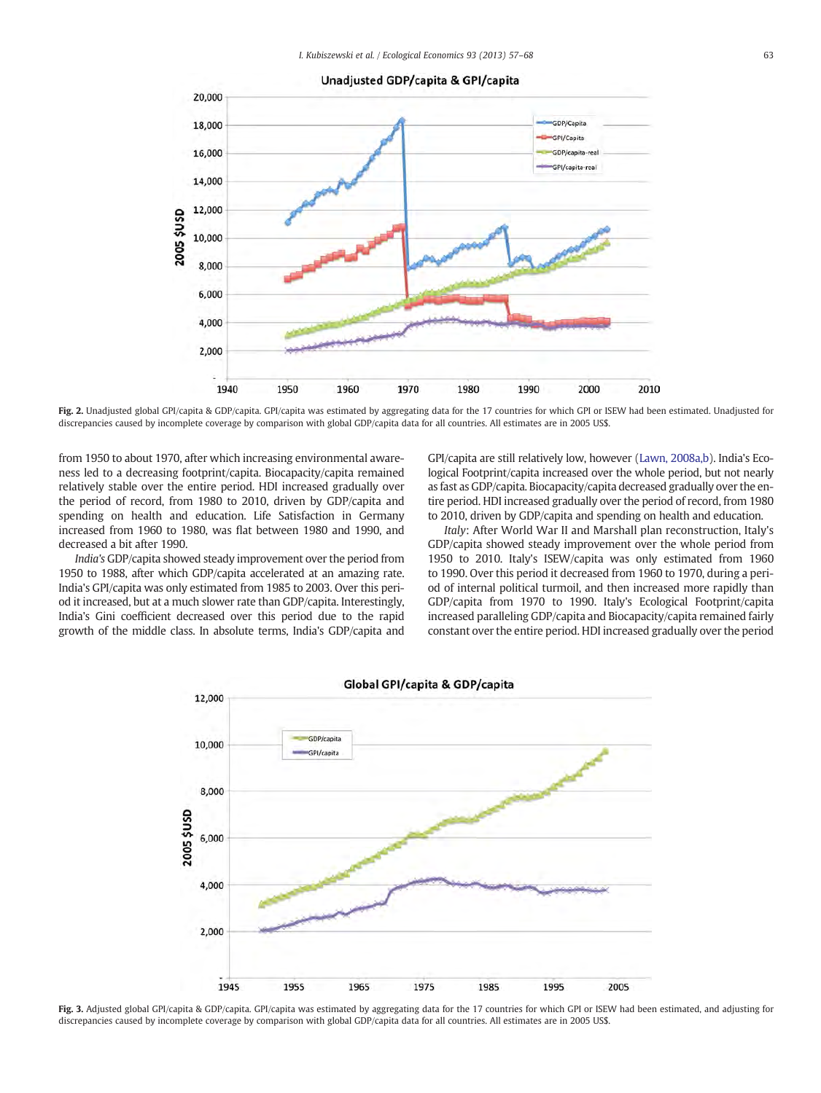<span id="page-6-0"></span>

Fig. 2. Unadjusted global GPI/capita & GDP/capita. GPI/capita was estimated by aggregating data for the 17 countries for which GPI or ISEW had been estimated. Unadjusted for discrepancies caused by incomplete coverage by comparison with global GDP/capita data for all countries. All estimates are in 2005 US\$.

from 1950 to about 1970, after which increasing environmental awareness led to a decreasing footprint/capita. Biocapacity/capita remained relatively stable over the entire period. HDI increased gradually over the period of record, from 1980 to 2010, driven by GDP/capita and spending on health and education. Life Satisfaction in Germany increased from 1960 to 1980, was flat between 1980 and 1990, and decreased a bit after 1990.

India's GDP/capita showed steady improvement over the period from 1950 to 1988, after which GDP/capita accelerated at an amazing rate. India's GPI/capita was only estimated from 1985 to 2003. Over this period it increased, but at a much slower rate than GDP/capita. Interestingly, India's Gini coefficient decreased over this period due to the rapid growth of the middle class. In absolute terms, India's GDP/capita and GPI/capita are still relatively low, however [\(Lawn, 2008a,b](#page-11-0)). India's Ecological Footprint/capita increased over the whole period, but not nearly as fast as GDP/capita. Biocapacity/capita decreased gradually over the entire period. HDI increased gradually over the period of record, from 1980 to 2010, driven by GDP/capita and spending on health and education.

Italy: After World War II and Marshall plan reconstruction, Italy's GDP/capita showed steady improvement over the whole period from 1950 to 2010. Italy's ISEW/capita was only estimated from 1960 to 1990. Over this period it decreased from 1960 to 1970, during a period of internal political turmoil, and then increased more rapidly than GDP/capita from 1970 to 1990. Italy's Ecological Footprint/capita increased paralleling GDP/capita and Biocapacity/capita remained fairly constant over the entire period. HDI increased gradually over the period



Fig. 3. Adjusted global GPI/capita & GDP/capita. GPI/capita was estimated by aggregating data for the 17 countries for which GPI or ISEW had been estimated, and adjusting for discrepancies caused by incomplete coverage by comparison with global GDP/capita data for all countries. All estimates are in 2005 US\$.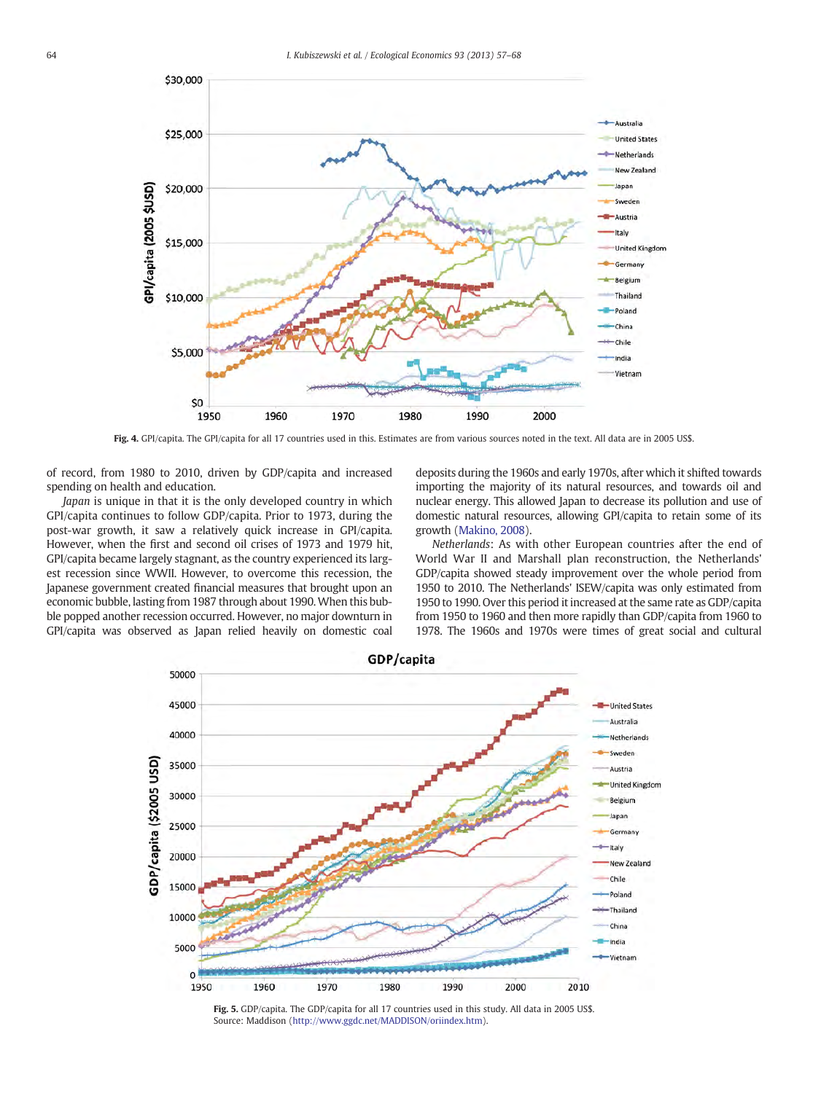<span id="page-7-0"></span>

Fig. 4. GPI/capita. The GPI/capita for all 17 countries used in this. Estimates are from various sources noted in the text. All data are in 2005 US\$.

of record, from 1980 to 2010, driven by GDP/capita and increased spending on health and education.

Japan is unique in that it is the only developed country in which GPI/capita continues to follow GDP/capita. Prior to 1973, during the post-war growth, it saw a relatively quick increase in GPI/capita. However, when the first and second oil crises of 1973 and 1979 hit, GPI/capita became largely stagnant, as the country experienced its largest recession since WWII. However, to overcome this recession, the Japanese government created financial measures that brought upon an economic bubble, lasting from 1987 through about 1990. When this bubble popped another recession occurred. However, no major downturn in GPI/capita was observed as Japan relied heavily on domestic coal deposits during the 1960s and early 1970s, after which it shifted towards importing the majority of its natural resources, and towards oil and nuclear energy. This allowed Japan to decrease its pollution and use of domestic natural resources, allowing GPI/capita to retain some of its growth [\(Makino, 2008\)](#page-11-0).

Netherlands: As with other European countries after the end of World War II and Marshall plan reconstruction, the Netherlands' GDP/capita showed steady improvement over the whole period from 1950 to 2010. The Netherlands' ISEW/capita was only estimated from 1950 to 1990. Over this period it increased at the same rate as GDP/capita from 1950 to 1960 and then more rapidly than GDP/capita from 1960 to 1978. The 1960s and 1970s were times of great social and cultural



Fig. 5. GDP/capita. The GDP/capita for all 17 countries used in this study. All data in 2005 US\$. Source: Maddison [\(http://www.ggdc.net/MADDISON/oriindex.htm](http://www.ggdc.net/MADDISON/oriindex.htm)).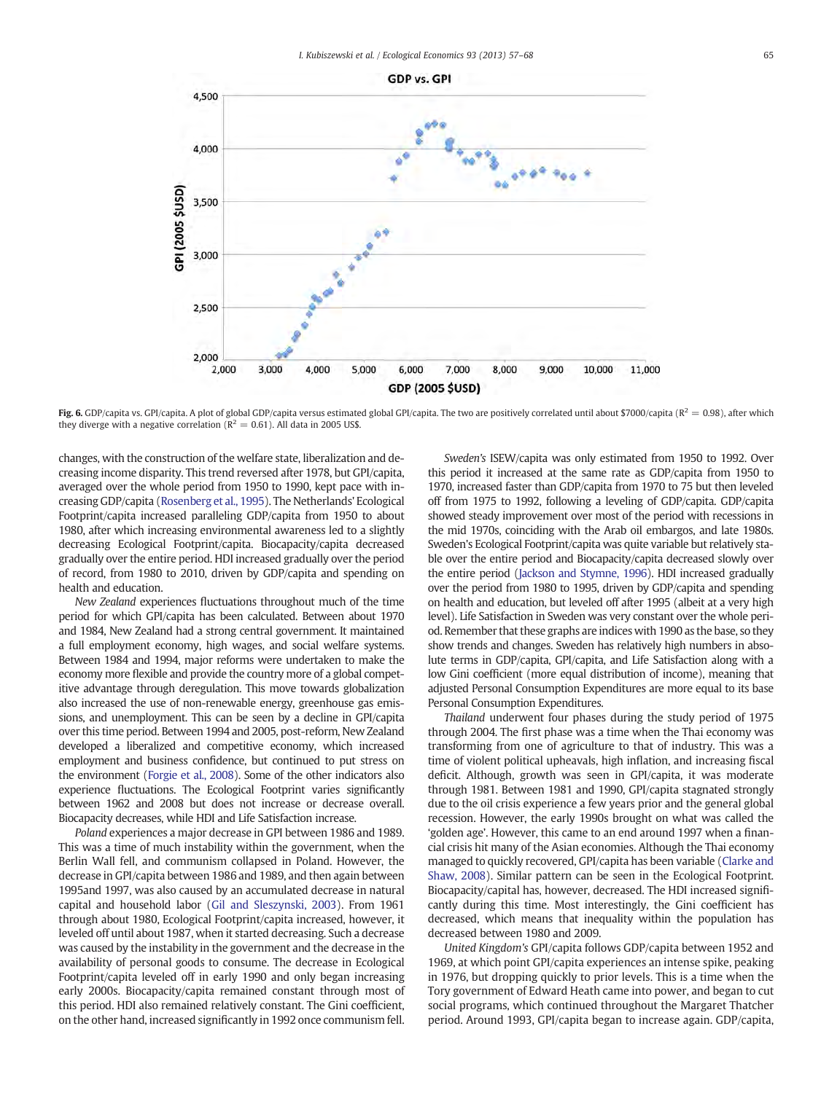<span id="page-8-0"></span>

Fig. 6. GDP/capita vs. GPI/capita. A plot of global GDP/capita versus estimated global GPI/capita. The two are positively correlated until about \$7000/capita ( $R^2 = 0.98$ ), after which they diverge with a negative correlation ( $R^2 = 0.61$ ). All data in 2005 US\$.

changes, with the construction of the welfare state, liberalization and decreasing income disparity. This trend reversed after 1978, but GPI/capita, averaged over the whole period from 1950 to 1990, kept pace with increasing GDP/capita ([Rosenberg et al., 1995\)](#page-11-0). The Netherlands' Ecological Footprint/capita increased paralleling GDP/capita from 1950 to about 1980, after which increasing environmental awareness led to a slightly decreasing Ecological Footprint/capita. Biocapacity/capita decreased gradually over the entire period. HDI increased gradually over the period of record, from 1980 to 2010, driven by GDP/capita and spending on health and education.

New Zealand experiences fluctuations throughout much of the time period for which GPI/capita has been calculated. Between about 1970 and 1984, New Zealand had a strong central government. It maintained a full employment economy, high wages, and social welfare systems. Between 1984 and 1994, major reforms were undertaken to make the economy more flexible and provide the country more of a global competitive advantage through deregulation. This move towards globalization also increased the use of non-renewable energy, greenhouse gas emissions, and unemployment. This can be seen by a decline in GPI/capita over this time period. Between 1994 and 2005, post-reform, New Zealand developed a liberalized and competitive economy, which increased employment and business confidence, but continued to put stress on the environment [\(Forgie et al., 2008\)](#page-10-0). Some of the other indicators also experience fluctuations. The Ecological Footprint varies significantly between 1962 and 2008 but does not increase or decrease overall. Biocapacity decreases, while HDI and Life Satisfaction increase.

Poland experiences a major decrease in GPI between 1986 and 1989. This was a time of much instability within the government, when the Berlin Wall fell, and communism collapsed in Poland. However, the decrease in GPI/capita between 1986 and 1989, and then again between 1995and 1997, was also caused by an accumulated decrease in natural capital and household labor [\(Gil and Sleszynski, 2003](#page-10-0)). From 1961 through about 1980, Ecological Footprint/capita increased, however, it leveled off until about 1987, when it started decreasing. Such a decrease was caused by the instability in the government and the decrease in the availability of personal goods to consume. The decrease in Ecological Footprint/capita leveled off in early 1990 and only began increasing early 2000s. Biocapacity/capita remained constant through most of this period. HDI also remained relatively constant. The Gini coefficient, on the other hand, increased significantly in 1992 once communism fell.

Sweden's ISEW/capita was only estimated from 1950 to 1992. Over this period it increased at the same rate as GDP/capita from 1950 to 1970, increased faster than GDP/capita from 1970 to 75 but then leveled off from 1975 to 1992, following a leveling of GDP/capita. GDP/capita showed steady improvement over most of the period with recessions in the mid 1970s, coinciding with the Arab oil embargos, and late 1980s. Sweden's Ecological Footprint/capita was quite variable but relatively stable over the entire period and Biocapacity/capita decreased slowly over the entire period [\(Jackson and Stymne, 1996](#page-10-0)). HDI increased gradually over the period from 1980 to 1995, driven by GDP/capita and spending on health and education, but leveled off after 1995 (albeit at a very high level). Life Satisfaction in Sweden was very constant over the whole period. Remember that these graphs are indices with 1990 as the base, so they show trends and changes. Sweden has relatively high numbers in absolute terms in GDP/capita, GPI/capita, and Life Satisfaction along with a low Gini coefficient (more equal distribution of income), meaning that adjusted Personal Consumption Expenditures are more equal to its base Personal Consumption Expenditures.

Thailand underwent four phases during the study period of 1975 through 2004. The first phase was a time when the Thai economy was transforming from one of agriculture to that of industry. This was a time of violent political upheavals, high inflation, and increasing fiscal deficit. Although, growth was seen in GPI/capita, it was moderate through 1981. Between 1981 and 1990, GPI/capita stagnated strongly due to the oil crisis experience a few years prior and the general global recession. However, the early 1990s brought on what was called the 'golden age'. However, this came to an end around 1997 when a financial crisis hit many of the Asian economies. Although the Thai economy managed to quickly recovered, GPI/capita has been variable [\(Clarke and](#page-10-0) [Shaw, 2008\)](#page-10-0). Similar pattern can be seen in the Ecological Footprint. Biocapacity/capital has, however, decreased. The HDI increased significantly during this time. Most interestingly, the Gini coefficient has decreased, which means that inequality within the population has decreased between 1980 and 2009.

United Kingdom's GPI/capita follows GDP/capita between 1952 and 1969, at which point GPI/capita experiences an intense spike, peaking in 1976, but dropping quickly to prior levels. This is a time when the Tory government of Edward Heath came into power, and began to cut social programs, which continued throughout the Margaret Thatcher period. Around 1993, GPI/capita began to increase again. GDP/capita,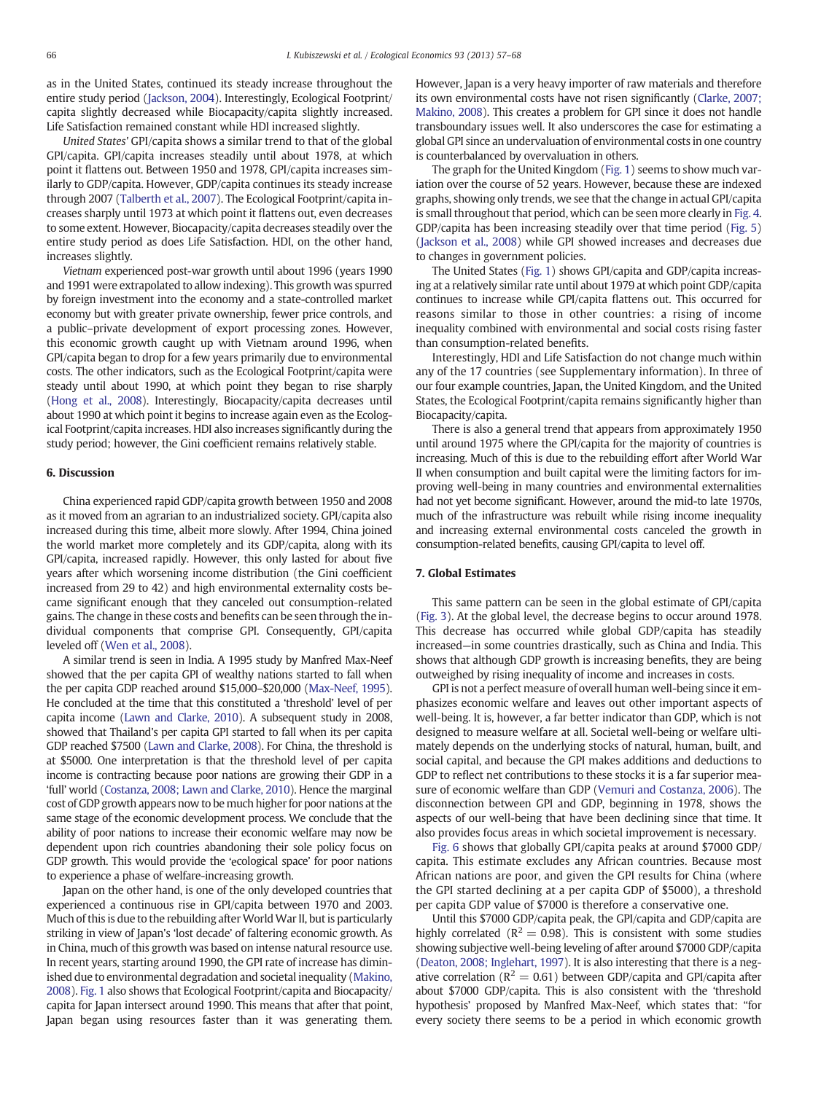as in the United States, continued its steady increase throughout the entire study period [\(Jackson, 2004\)](#page-10-0). Interestingly, Ecological Footprint/ capita slightly decreased while Biocapacity/capita slightly increased. Life Satisfaction remained constant while HDI increased slightly.

United States' GPI/capita shows a similar trend to that of the global GPI/capita. GPI/capita increases steadily until about 1978, at which point it flattens out. Between 1950 and 1978, GPI/capita increases similarly to GDP/capita. However, GDP/capita continues its steady increase through 2007 [\(Talberth et al., 2007\)](#page-11-0). The Ecological Footprint/capita increases sharply until 1973 at which point it flattens out, even decreases to some extent. However, Biocapacity/capita decreases steadily over the entire study period as does Life Satisfaction. HDI, on the other hand, increases slightly.

Vietnam experienced post-war growth until about 1996 (years 1990 and 1991 were extrapolated to allow indexing). This growth was spurred by foreign investment into the economy and a state-controlled market economy but with greater private ownership, fewer price controls, and a public–private development of export processing zones. However, this economic growth caught up with Vietnam around 1996, when GPI/capita began to drop for a few years primarily due to environmental costs. The other indicators, such as the Ecological Footprint/capita were steady until about 1990, at which point they began to rise sharply [\(Hong et al., 2008\)](#page-10-0). Interestingly, Biocapacity/capita decreases until about 1990 at which point it begins to increase again even as the Ecological Footprint/capita increases. HDI also increases significantly during the study period; however, the Gini coefficient remains relatively stable.

#### 6. Discussion

China experienced rapid GDP/capita growth between 1950 and 2008 as it moved from an agrarian to an industrialized society. GPI/capita also increased during this time, albeit more slowly. After 1994, China joined the world market more completely and its GDP/capita, along with its GPI/capita, increased rapidly. However, this only lasted for about five years after which worsening income distribution (the Gini coefficient increased from 29 to 42) and high environmental externality costs became significant enough that they canceled out consumption-related gains. The change in these costs and benefits can be seen through the individual components that comprise GPI. Consequently, GPI/capita leveled off [\(Wen et al., 2008](#page-11-0)).

A similar trend is seen in India. A 1995 study by Manfred Max-Neef showed that the per capita GPI of wealthy nations started to fall when the per capita GDP reached around \$15,000–\$20,000 [\(Max-Neef, 1995\)](#page-11-0). He concluded at the time that this constituted a 'threshold' level of per capita income [\(Lawn and Clarke, 2010\)](#page-11-0). A subsequent study in 2008, showed that Thailand's per capita GPI started to fall when its per capita GDP reached \$7500 ([Lawn and Clarke, 2008\)](#page-11-0). For China, the threshold is at \$5000. One interpretation is that the threshold level of per capita income is contracting because poor nations are growing their GDP in a 'full' world [\(Costanza, 2008; Lawn and Clarke, 2010](#page-10-0)). Hence the marginal cost of GDP growth appears now to be much higher for poor nations at the same stage of the economic development process. We conclude that the ability of poor nations to increase their economic welfare may now be dependent upon rich countries abandoning their sole policy focus on GDP growth. This would provide the 'ecological space' for poor nations to experience a phase of welfare-increasing growth.

Japan on the other hand, is one of the only developed countries that experienced a continuous rise in GPI/capita between 1970 and 2003. Much of this is due to the rebuilding after World War II, but is particularly striking in view of Japan's 'lost decade' of faltering economic growth. As in China, much of this growth was based on intense natural resource use. In recent years, starting around 1990, the GPI rate of increase has diminished due to environmental degradation and societal inequality [\(Makino,](#page-11-0) [2008](#page-11-0)). [Fig. 1](#page-3-0) also shows that Ecological Footprint/capita and Biocapacity/ capita for Japan intersect around 1990. This means that after that point, Japan began using resources faster than it was generating them. However, Japan is a very heavy importer of raw materials and therefore its own environmental costs have not risen significantly [\(Clarke, 2007;](#page-10-0) [Makino, 2008](#page-10-0)). This creates a problem for GPI since it does not handle transboundary issues well. It also underscores the case for estimating a global GPI since an undervaluation of environmental costs in one country is counterbalanced by overvaluation in others.

The graph for the United Kingdom [\(Fig. 1\)](#page-3-0) seems to show much variation over the course of 52 years. However, because these are indexed graphs, showing only trends, we see that the change in actual GPI/capita is small throughout that period, which can be seen more clearly in [Fig. 4.](#page-7-0) GDP/capita has been increasing steadily over that time period [\(Fig. 5](#page-7-0)) [\(Jackson et al., 2008](#page-10-0)) while GPI showed increases and decreases due to changes in government policies.

The United States [\(Fig. 1\)](#page-3-0) shows GPI/capita and GDP/capita increasing at a relatively similar rate until about 1979 at which point GDP/capita continues to increase while GPI/capita flattens out. This occurred for reasons similar to those in other countries: a rising of income inequality combined with environmental and social costs rising faster than consumption-related benefits.

Interestingly, HDI and Life Satisfaction do not change much within any of the 17 countries (see Supplementary information). In three of our four example countries, Japan, the United Kingdom, and the United States, the Ecological Footprint/capita remains significantly higher than Biocapacity/capita.

There is also a general trend that appears from approximately 1950 until around 1975 where the GPI/capita for the majority of countries is increasing. Much of this is due to the rebuilding effort after World War II when consumption and built capital were the limiting factors for improving well-being in many countries and environmental externalities had not yet become significant. However, around the mid-to late 1970s, much of the infrastructure was rebuilt while rising income inequality and increasing external environmental costs canceled the growth in consumption-related benefits, causing GPI/capita to level off.

#### 7. Global Estimates

This same pattern can be seen in the global estimate of GPI/capita [\(Fig. 3](#page-6-0)). At the global level, the decrease begins to occur around 1978. This decrease has occurred while global GDP/capita has steadily increased—in some countries drastically, such as China and India. This shows that although GDP growth is increasing benefits, they are being outweighed by rising inequality of income and increases in costs.

GPI is not a perfect measure of overall human well-being since it emphasizes economic welfare and leaves out other important aspects of well-being. It is, however, a far better indicator than GDP, which is not designed to measure welfare at all. Societal well-being or welfare ultimately depends on the underlying stocks of natural, human, built, and social capital, and because the GPI makes additions and deductions to GDP to reflect net contributions to these stocks it is a far superior measure of economic welfare than GDP [\(Vemuri and Costanza, 2006](#page-11-0)). The disconnection between GPI and GDP, beginning in 1978, shows the aspects of our well-being that have been declining since that time. It also provides focus areas in which societal improvement is necessary.

[Fig. 6](#page-8-0) shows that globally GPI/capita peaks at around \$7000 GDP/ capita. This estimate excludes any African countries. Because most African nations are poor, and given the GPI results for China (where the GPI started declining at a per capita GDP of \$5000), a threshold per capita GDP value of \$7000 is therefore a conservative one.

Until this \$7000 GDP/capita peak, the GPI/capita and GDP/capita are highly correlated ( $R^2 = 0.98$ ). This is consistent with some studies showing subjective well-being leveling of after around \$7000 GDP/capita [\(Deaton, 2008; Inglehart, 1997](#page-10-0)). It is also interesting that there is a negative correlation ( $R^2 = 0.61$ ) between GDP/capita and GPI/capita after about \$7000 GDP/capita. This is also consistent with the 'threshold hypothesis' proposed by Manfred Max-Neef, which states that: "for every society there seems to be a period in which economic growth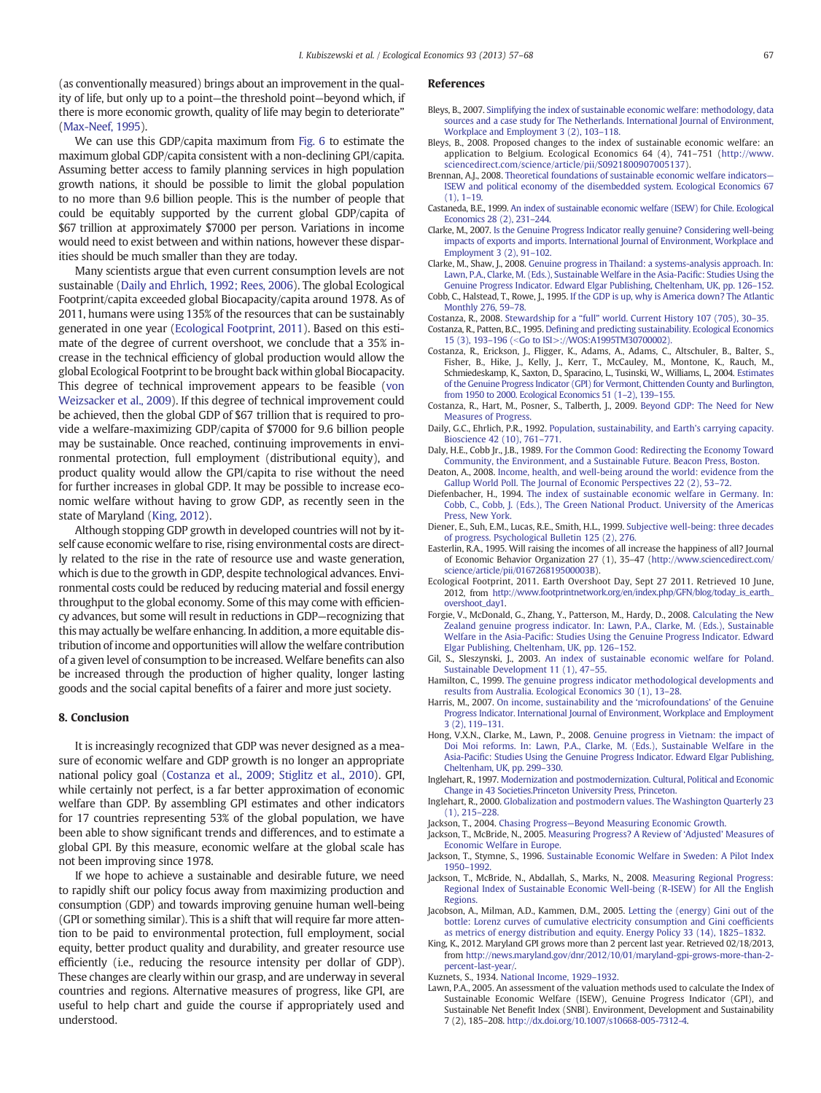<span id="page-10-0"></span>(as conventionally measured) brings about an improvement in the quality of life, but only up to a point—the threshold point—beyond which, if there is more economic growth, quality of life may begin to deteriorate" [\(Max-Neef, 1995\)](#page-11-0).

We can use this GDP/capita maximum from [Fig. 6](#page-8-0) to estimate the maximum global GDP/capita consistent with a non-declining GPI/capita. Assuming better access to family planning services in high population growth nations, it should be possible to limit the global population to no more than 9.6 billion people. This is the number of people that could be equitably supported by the current global GDP/capita of \$67 trillion at approximately \$7000 per person. Variations in income would need to exist between and within nations, however these disparities should be much smaller than they are today.

Many scientists argue that even current consumption levels are not sustainable (Daily and Ehrlich, 1992; Rees, 2006). The global Ecological Footprint/capita exceeded global Biocapacity/capita around 1978. As of 2011, humans were using 135% of the resources that can be sustainably generated in one year (Ecological Footprint, 2011). Based on this estimate of the degree of current overshoot, we conclude that a 35% increase in the technical efficiency of global production would allow the global Ecological Footprint to be brought back within global Biocapacity. This degree of technical improvement appears to be feasible [\(von](#page-11-0) [Weizsacker et al., 2009](#page-11-0)). If this degree of technical improvement could be achieved, then the global GDP of \$67 trillion that is required to provide a welfare-maximizing GDP/capita of \$7000 for 9.6 billion people may be sustainable. Once reached, continuing improvements in environmental protection, full employment (distributional equity), and product quality would allow the GPI/capita to rise without the need for further increases in global GDP. It may be possible to increase economic welfare without having to grow GDP, as recently seen in the state of Maryland (King, 2012).

Although stopping GDP growth in developed countries will not by itself cause economic welfare to rise, rising environmental costs are directly related to the rise in the rate of resource use and waste generation, which is due to the growth in GDP, despite technological advances. Environmental costs could be reduced by reducing material and fossil energy throughput to the global economy. Some of this may come with efficiency advances, but some will result in reductions in GDP—recognizing that this may actually be welfare enhancing. In addition, a more equitable distribution of income and opportunities will allow the welfare contribution of a given level of consumption to be increased. Welfare benefits can also be increased through the production of higher quality, longer lasting goods and the social capital benefits of a fairer and more just society.

#### 8. Conclusion

It is increasingly recognized that GDP was never designed as a measure of economic welfare and GDP growth is no longer an appropriate national policy goal (Costanza et al., 2009; Stiglitz et al., 2010). GPI, while certainly not perfect, is a far better approximation of economic welfare than GDP. By assembling GPI estimates and other indicators for 17 countries representing 53% of the global population, we have been able to show significant trends and differences, and to estimate a global GPI. By this measure, economic welfare at the global scale has not been improving since 1978.

If we hope to achieve a sustainable and desirable future, we need to rapidly shift our policy focus away from maximizing production and consumption (GDP) and towards improving genuine human well-being (GPI or something similar). This is a shift that will require far more attention to be paid to environmental protection, full employment, social equity, better product quality and durability, and greater resource use efficiently (i.e., reducing the resource intensity per dollar of GDP). These changes are clearly within our grasp, and are underway in several countries and regions. Alternative measures of progress, like GPI, are useful to help chart and guide the course if appropriately used and understood.

#### References

- Bleys, B., 2007. [Simplifying the index of sustainable economic welfare: methodology, data](http://refhub.elsevier.com/S0921-8009(13)00158-4/rf0005) [sources and a case study for The Netherlands. International Journal of Environment,](http://refhub.elsevier.com/S0921-8009(13)00158-4/rf0005) [Workplace and Employment 3 \(2\), 103](http://refhub.elsevier.com/S0921-8009(13)00158-4/rf0005)–118.
- Bleys, B., 2008. Proposed changes to the index of sustainable economic welfare: an application to Belgium. Ecological Economics 64 (4), 741–751 ([http://www.](http://www.sciencedirect.com/science/article/pii/S0921800907005137) [sciencedirect.com/science/article/pii/S0921800907005137](http://www.sciencedirect.com/science/article/pii/S0921800907005137)).
- Brennan, A.J., 2008. [Theoretical foundations of sustainable economic welfare indicators](http://refhub.elsevier.com/S0921-8009(13)00158-4/rf0010) [ISEW and political economy of the disembedded system. Ecological Economics 67](http://refhub.elsevier.com/S0921-8009(13)00158-4/rf0010)  $(1)$ , 1–19
- Castaneda, B.E., 1999. [An index of sustainable economic welfare \(ISEW\) for Chile. Ecological](http://refhub.elsevier.com/S0921-8009(13)00158-4/rf0015) [Economics 28 \(2\), 231](http://refhub.elsevier.com/S0921-8009(13)00158-4/rf0015)–244.
- Clarke, M., 2007. [Is the Genuine Progress Indicator really genuine? Considering well-being](http://refhub.elsevier.com/S0921-8009(13)00158-4/rf0020) [impacts of exports and imports. International Journal of Environment, Workplace and](http://refhub.elsevier.com/S0921-8009(13)00158-4/rf0020) [Employment 3 \(2\), 91](http://refhub.elsevier.com/S0921-8009(13)00158-4/rf0020)–102.
- Clarke, M., Shaw, J., 2008. [Genuine progress in Thailand: a systems-analysis approach. In:](http://refhub.elsevier.com/S0921-8009(13)00158-4/rf0160) [Lawn, P.A., Clarke, M. \(Eds.\), Sustainable Welfare in the Asia-Paci](http://refhub.elsevier.com/S0921-8009(13)00158-4/rf0160)fic: Studies Using the [Genuine Progress Indicator. Edward Elgar Publishing, Cheltenham, UK, pp. 126](http://refhub.elsevier.com/S0921-8009(13)00158-4/rf0160)–152.
- Cobb, C., Halstead, T., Rowe, J., 1995. [If the GDP is up, why is America down? The Atlantic](http://refhub.elsevier.com/S0921-8009(13)00158-4/rf0025) [Monthly 276, 59](http://refhub.elsevier.com/S0921-8009(13)00158-4/rf0025)–78.
- Costanza, R., 2008. Stewardship for a "full" [world. Current History 107 \(705\), 30](http://refhub.elsevier.com/S0921-8009(13)00158-4/rf0030)–35. Costanza, R., Patten, B.C., 1995. Defi[ning and predicting sustainability. Ecological Economics](http://refhub.elsevier.com/S0921-8009(13)00158-4/rf0165) [15 \(3\), 193](http://refhub.elsevier.com/S0921-8009(13)00158-4/rf0165)-196 (<[Go to ISI>://WOS:A1995TM30700002\)](http://refhub.elsevier.com/S0921-8009(13)00158-4/rf0165).
- Costanza, R., Erickson, J., Fligger, K., Adams, A., Adams, C., Altschuler, B., Balter, S., Fisher, B., Hike, J., Kelly, J., Kerr, T., McCauley, M., Montone, K., Rauch, M., Schmiedeskamp, K., Saxton, D., Sparacino, L., Tusinski, W., Williams, L., 2004. [Estimates](http://refhub.elsevier.com/S0921-8009(13)00158-4/rf0035) [of the Genuine Progress Indicator \(GPI\) for Vermont, Chittenden County and Burlington,](http://refhub.elsevier.com/S0921-8009(13)00158-4/rf0035) [from 1950 to 2000. Ecological Economics 51 \(1](http://refhub.elsevier.com/S0921-8009(13)00158-4/rf0035)–2), 139–155.
- Costanza, R., Hart, M., Posner, S., Talberth, J., 2009. [Beyond GDP: The Need for New](http://refhub.elsevier.com/S0921-8009(13)00158-4/rf0170) [Measures of Progress](http://refhub.elsevier.com/S0921-8009(13)00158-4/rf0170).
- Daily, G.C., Ehrlich, P.R., 1992. [Population, sustainability, and Earth's carrying capacity.](http://refhub.elsevier.com/S0921-8009(13)00158-4/rf0040) [Bioscience 42 \(10\), 761](http://refhub.elsevier.com/S0921-8009(13)00158-4/rf0040)–771.
- Daly, H.E., Cobb Jr., J.B., 1989. [For the Common Good: Redirecting the Economy Toward](http://refhub.elsevier.com/S0921-8009(13)00158-4/rf0045) [Community, the Environment, and a Sustainable Future. Beacon Press, Boston.](http://refhub.elsevier.com/S0921-8009(13)00158-4/rf0045)
- Deaton, A., 2008. [Income, health, and well-being around the world: evidence from the](http://refhub.elsevier.com/S0921-8009(13)00158-4/rf0050) [Gallup World Poll. The Journal of Economic Perspectives 22 \(2\), 53](http://refhub.elsevier.com/S0921-8009(13)00158-4/rf0050)–72.
- Diefenbacher, H., 1994. [The index of sustainable economic welfare in Germany. In:](http://refhub.elsevier.com/S0921-8009(13)00158-4/rf0175) [Cobb, C., Cobb, J. \(Eds.\), The Green National Product. University of the Americas](http://refhub.elsevier.com/S0921-8009(13)00158-4/rf0175) [Press, New York.](http://refhub.elsevier.com/S0921-8009(13)00158-4/rf0175)
- Diener, E., Suh, E.M., Lucas, R.E., Smith, H.L., 1999. [Subjective well-being: three decades](http://refhub.elsevier.com/S0921-8009(13)00158-4/rf0055) [of progress. Psychological Bulletin 125 \(2\), 276](http://refhub.elsevier.com/S0921-8009(13)00158-4/rf0055).
- Easterlin, R.A., 1995. Will raising the incomes of all increase the happiness of all? Journal of Economic Behavior Organization 27 (1), 35–47 ([http://www.sciencedirect.com/](http://www.sciencedirect.com/science/article/pii/016726819500003B) [science/article/pii/016726819500003B\)](http://www.sciencedirect.com/science/article/pii/016726819500003B).
- Ecological Footprint, 2011. Earth Overshoot Day, Sept 27 2011. Retrieved 10 June, 2012, from [http://www.footprintnetwork.org/en/index.php/GFN/blog/today\\_is\\_earth\\_](http://www.footprintnetwork.org/en/index.php/GFN/blog/today_is_earth_overshoot_day1) [overshoot\\_day1](http://www.footprintnetwork.org/en/index.php/GFN/blog/today_is_earth_overshoot_day1).
- Forgie, V., McDonald, G., Zhang, Y., Patterson, M., Hardy, D., 2008. [Calculating the New](http://refhub.elsevier.com/S0921-8009(13)00158-4/rf0190) [Zealand genuine progress indicator. In: Lawn, P.A., Clarke, M. \(Eds.\), Sustainable](http://refhub.elsevier.com/S0921-8009(13)00158-4/rf0190) Welfare in the Asia-Pacifi[c: Studies Using the Genuine Progress Indicator. Edward](http://refhub.elsevier.com/S0921-8009(13)00158-4/rf0190) [Elgar Publishing, Cheltenham, UK, pp. 126](http://refhub.elsevier.com/S0921-8009(13)00158-4/rf0190)–152.
- Gil, S., Sleszynski, J., 2003. [An index of sustainable economic welfare for Poland.](http://refhub.elsevier.com/S0921-8009(13)00158-4/rf0060) [Sustainable Development 11 \(1\), 47](http://refhub.elsevier.com/S0921-8009(13)00158-4/rf0060)–55.
- Hamilton, C., 1999. [The genuine progress indicator methodological developments and](http://refhub.elsevier.com/S0921-8009(13)00158-4/rf0065) [results from Australia. Ecological Economics 30 \(1\), 13](http://refhub.elsevier.com/S0921-8009(13)00158-4/rf0065)–28.
- Harris, M., 2007. [On income, sustainability and the](http://refhub.elsevier.com/S0921-8009(13)00158-4/rf0070) 'microfoundations' of the Genuine [Progress Indicator. International Journal of Environment, Workplace and Employment](http://refhub.elsevier.com/S0921-8009(13)00158-4/rf0070) [3 \(2\), 119](http://refhub.elsevier.com/S0921-8009(13)00158-4/rf0070)–131.
- Hong, V.X.N., Clarke, M., Lawn, P., 2008. [Genuine progress in Vietnam: the impact of](http://refhub.elsevier.com/S0921-8009(13)00158-4/rf0195) [Doi Moi reforms. In: Lawn, P.A., Clarke, M. \(Eds.\), Sustainable Welfare in the](http://refhub.elsevier.com/S0921-8009(13)00158-4/rf0195) Asia-Pacifi[c: Studies Using the Genuine Progress Indicator. Edward Elgar Publishing,](http://refhub.elsevier.com/S0921-8009(13)00158-4/rf0195) [Cheltenham, UK, pp. 299](http://refhub.elsevier.com/S0921-8009(13)00158-4/rf0195)–330.
- Inglehart, R., 1997. [Modernization and postmodernization. Cultural, Political and Economic](http://refhub.elsevier.com/S0921-8009(13)00158-4/rf0200) [Change in 43 Societies.Princeton University Press, Princeton.](http://refhub.elsevier.com/S0921-8009(13)00158-4/rf0200)
- Inglehart, R., 2000. [Globalization and postmodern values. The Washington Quarterly 23](http://refhub.elsevier.com/S0921-8009(13)00158-4/rf0075) [\(1\), 215](http://refhub.elsevier.com/S0921-8009(13)00158-4/rf0075)–228.
- Jackson, T., 2004. Chasing Progress—[Beyond Measuring Economic Growth.](http://refhub.elsevier.com/S0921-8009(13)00158-4/rf0205)
- Jackson, T., McBride, N., 2005. [Measuring Progress? A Review of](http://refhub.elsevier.com/S0921-8009(13)00158-4/rf0210) 'Adjusted' Measures of [Economic Welfare in Europe.](http://refhub.elsevier.com/S0921-8009(13)00158-4/rf0210)
- Jackson, T., Stymne, S., 1996. [Sustainable Economic Welfare in Sweden: A Pilot Index](http://refhub.elsevier.com/S0921-8009(13)00158-4/rf0215) [1950](http://refhub.elsevier.com/S0921-8009(13)00158-4/rf0215)–1992.
- Jackson, T., McBride, N., Abdallah, S., Marks, N., 2008. [Measuring Regional Progress:](http://refhub.elsevier.com/S0921-8009(13)00158-4/rf0315) [Regional Index of Sustainable Economic Well-being \(R-ISEW\) for All the English](http://refhub.elsevier.com/S0921-8009(13)00158-4/rf0315) [Regions](http://refhub.elsevier.com/S0921-8009(13)00158-4/rf0315).
- Jacobson, A., Milman, A.D., Kammen, D.M., 2005. [Letting the \(energy\) Gini out of the](http://refhub.elsevier.com/S0921-8009(13)00158-4/rf0080) [bottle: Lorenz curves of cumulative electricity consumption and Gini coef](http://refhub.elsevier.com/S0921-8009(13)00158-4/rf0080)ficients [as metrics of energy distribution and equity. Energy Policy 33 \(14\), 1825](http://refhub.elsevier.com/S0921-8009(13)00158-4/rf0080)–1832.
- King, K., 2012. Maryland GPI grows more than 2 percent last year. Retrieved 02/18/2013, from [http://news.maryland.gov/dnr/2012/10/01/maryland-gpi-grows-more-than-2](http://news.maryland.gov/dnr/2012/10/01/maryland-gpi-grows-more-than-2-percent-last-year/) [percent-last-year/](http://news.maryland.gov/dnr/2012/10/01/maryland-gpi-grows-more-than-2-percent-last-year/).
- Kuznets, S., 1934. [National Income, 1929](http://refhub.elsevier.com/S0921-8009(13)00158-4/rf0230)–1932.
- Lawn, P.A., 2005. An assessment of the valuation methods used to calculate the Index of Sustainable Economic Welfare (ISEW), Genuine Progress Indicator (GPI), and Sustainable Net Benefit Index (SNBI). Environment, Development and Sustainability 7 (2), 185–208. http://dx.doi.org/[10.1007/s10668-005-7312-4](http://dx.doi.org/10.1007/s10668-005-7312-4).